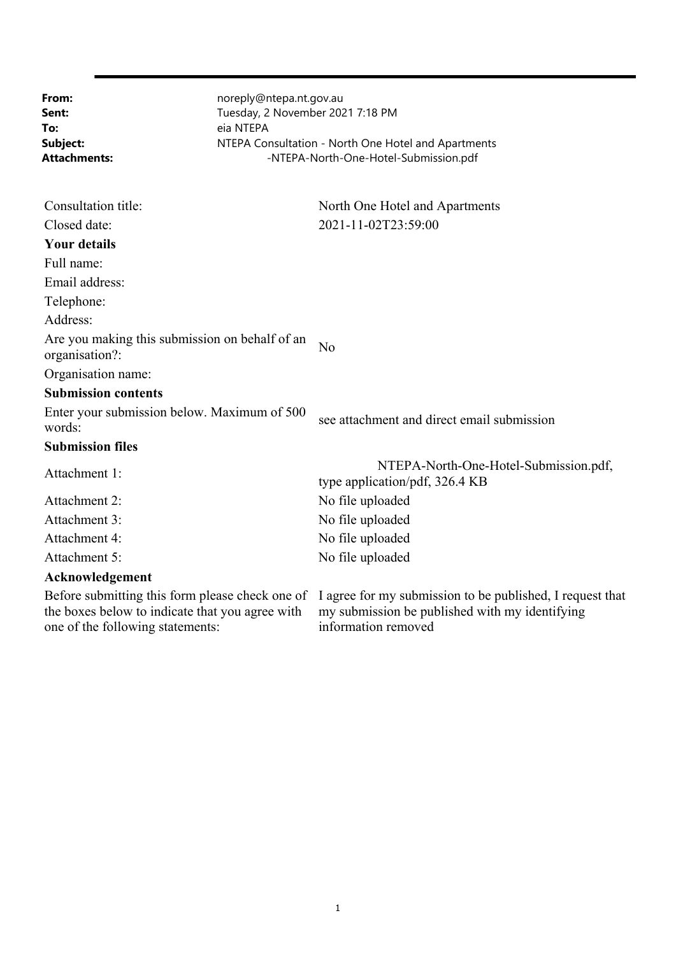| From:<br>Sent:<br>To:<br>Subject:<br>Attachments:                                                                                      | noreply@ntepa.nt.gov.au<br>Tuesday, 2 November 2021 7:18 PM<br>eia NTEPA | NTEPA Consultation - North One Hotel and Apartments<br>-NTEPA-North-One-Hotel-Submission.pdf                                       |
|----------------------------------------------------------------------------------------------------------------------------------------|--------------------------------------------------------------------------|------------------------------------------------------------------------------------------------------------------------------------|
| Consultation title:                                                                                                                    |                                                                          | North One Hotel and Apartments                                                                                                     |
| Closed date:                                                                                                                           |                                                                          | 2021-11-02T23:59:00                                                                                                                |
| <b>Your details</b>                                                                                                                    |                                                                          |                                                                                                                                    |
| Full name:                                                                                                                             |                                                                          |                                                                                                                                    |
| Email address:                                                                                                                         |                                                                          |                                                                                                                                    |
| Telephone:                                                                                                                             |                                                                          |                                                                                                                                    |
| Address:                                                                                                                               |                                                                          |                                                                                                                                    |
| Are you making this submission on behalf of an<br>organisation?:                                                                       |                                                                          | No                                                                                                                                 |
| Organisation name:                                                                                                                     |                                                                          |                                                                                                                                    |
| <b>Submission contents</b>                                                                                                             |                                                                          |                                                                                                                                    |
| Enter your submission below. Maximum of 500<br>words:                                                                                  |                                                                          | see attachment and direct email submission                                                                                         |
| <b>Submission files</b>                                                                                                                |                                                                          |                                                                                                                                    |
| Attachment 1:                                                                                                                          |                                                                          | NTEPA-North-One-Hotel-Submission.pdf,<br>type application/pdf, 326.4 KB                                                            |
| Attachment 2:                                                                                                                          |                                                                          | No file uploaded                                                                                                                   |
| Attachment 3:                                                                                                                          |                                                                          | No file uploaded                                                                                                                   |
| Attachment 4:                                                                                                                          |                                                                          | No file uploaded                                                                                                                   |
| Attachment 5:                                                                                                                          |                                                                          | No file uploaded                                                                                                                   |
| Acknowledgement                                                                                                                        |                                                                          |                                                                                                                                    |
| Before submitting this form please check one of<br>the boxes below to indicate that you agree with<br>one of the following statements: |                                                                          | I agree for my submission to be published, I request that<br>my submission be published with my identifying<br>information removed |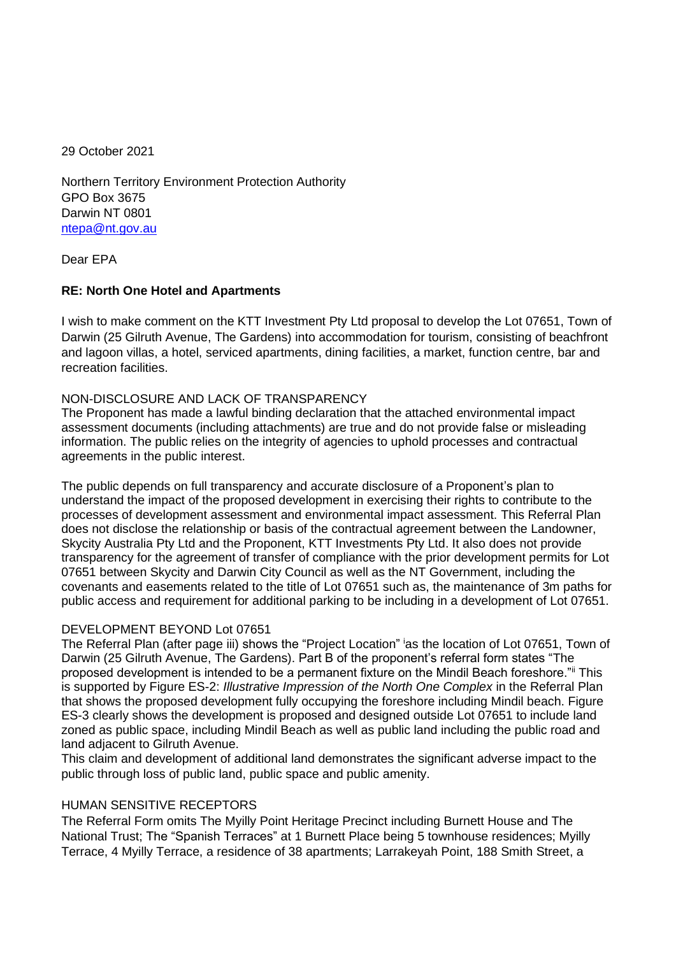29 October 2021

Northern Territory Environment Protection Authority GPO Box 3675 Darwin NT 0801 ntepa@nt.gov.au

Dear EPA

# **RE: North One Hotel and Apartments**

I wish to make comment on the KTT Investment Pty Ltd proposal to develop the Lot 07651, Town of Darwin (25 Gilruth Avenue, The Gardens) into accommodation for tourism, consisting of beachfront and lagoon villas, a hotel, serviced apartments, dining facilities, a market, function centre, bar and recreation facilities.

# NON-DISCLOSURE AND LACK OF TRANSPARENCY

The Proponent has made a lawful binding declaration that the attached environmental impact assessment documents (including attachments) are true and do not provide false or misleading information. The public relies on the integrity of agencies to uphold processes and contractual agreements in the public interest.

The public depends on full transparency and accurate disclosure of a Proponent's plan to understand the impact of the proposed development in exercising their rights to contribute to the processes of development assessment and environmental impact assessment. This Referral Plan does not disclose the relationship or basis of the contractual agreement between the Landowner, Skycity Australia Pty Ltd and the Proponent, KTT Investments Pty Ltd. It also does not provide transparency for the agreement of transfer of compliance with the prior development permits for Lot 07651 between Skycity and Darwin City Council as well as the NT Government, including the covenants and easements related to the title of Lot 07651 such as, the maintenance of 3m paths for public access and requirement for additional parking to be including in a development of Lot 07651.

# DEVELOPMENT BEYOND Lot 07651

The Referral Plan (after page iii) shows the "Project Location" <sup>i</sup>as the location of Lot 07651, Town of Darwin (25 Gilruth Avenue, The Gardens). Part B of the proponent's referral form states "The proposed development is intended to be a permanent fixture on the Mindil Beach foreshore."ii This is supported by Figure ES-2: *Illustrative Impression of the North One Complex* in the Referral Plan that shows the proposed development fully occupying the foreshore including Mindil beach. Figure ES-3 clearly shows the development is proposed and designed outside Lot 07651 to include land zoned as public space, including Mindil Beach as well as public land including the public road and land adjacent to Gilruth Avenue.

This claim and development of additional land demonstrates the significant adverse impact to the public through loss of public land, public space and public amenity.

# HUMAN SENSITIVE RECEPTORS

The Referral Form omits The Myilly Point Heritage Precinct including Burnett House and The National Trust; The "Spanish Terraces" at 1 Burnett Place being 5 townhouse residences; Myilly Terrace, 4 Myilly Terrace, a residence of 38 apartments; Larrakeyah Point, 188 Smith Street, a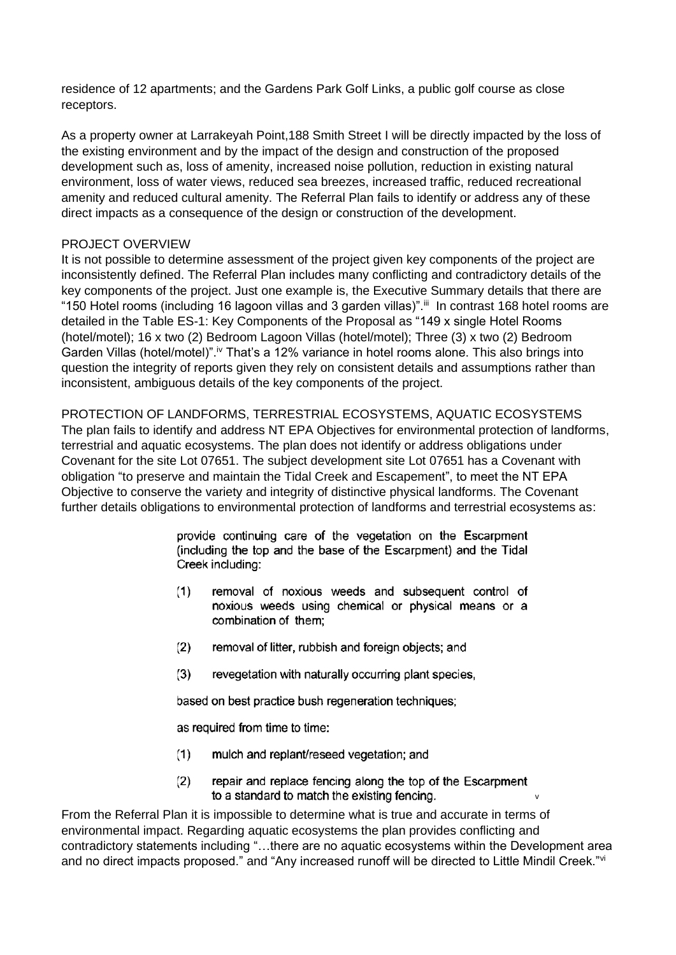residence of 12 apartments; and the Gardens Park Golf Links, a public golf course as close receptors.

As a property owner at Larrakeyah Point,188 Smith Street I will be directly impacted by the loss of the existing environment and by the impact of the design and construction of the proposed development such as, loss of amenity, increased noise pollution, reduction in existing natural environment, loss of water views, reduced sea breezes, increased traffic, reduced recreational amenity and reduced cultural amenity. The Referral Plan fails to identify or address any of these direct impacts as a consequence of the design or construction of the development.

# PROJECT OVERVIEW

It is not possible to determine assessment of the project given key components of the project are inconsistently defined. The Referral Plan includes many conflicting and contradictory details of the key components of the project. Just one example is, the Executive Summary details that there are "150 Hotel rooms (including 16 lagoon villas and 3 garden villas)". iii In contrast 168 hotel rooms are detailed in the Table ES-1: Key Components of the Proposal as "149 x single Hotel Rooms (hotel/motel); 16 x two (2) Bedroom Lagoon Villas (hotel/motel); Three (3) x two (2) Bedroom Garden Villas (hotel/motel)".<sup>iv</sup> That's a 12% variance in hotel rooms alone. This also brings into question the integrity of reports given they rely on consistent details and assumptions rather than inconsistent, ambiguous details of the key components of the project.

PROTECTION OF LANDFORMS, TERRESTRIAL ECOSYSTEMS, AQUATIC ECOSYSTEMS The plan fails to identify and address NT EPA Objectives for environmental protection of landforms, terrestrial and aquatic ecosystems. The plan does not identify or address obligations under Covenant for the site Lot 07651. The subject development site Lot 07651 has a Covenant with obligation "to preserve and maintain the Tidal Creek and Escapement", to meet the NT EPA Objective to conserve the variety and integrity of distinctive physical landforms. The Covenant further details obligations to environmental protection of landforms and terrestrial ecosystems as:

> provide continuing care of the vegetation on the Escarpment (including the top and the base of the Escarpment) and the Tidal Creek including:

- $(1)$ removal of noxious weeds and subsequent control of noxious weeds using chemical or physical means or a combination of them:
- $(2)$ removal of litter, rubbish and foreign objects; and
- $(3)$ revegetation with naturally occurring plant species.

based on best practice bush regeneration techniques;

as required from time to time:

- mulch and replant/reseed vegetation; and  $(1)$
- $(2)$ repair and replace fencing along the top of the Escarpment to a standard to match the existing fencing.

v

From the Referral Plan it is impossible to determine what is true and accurate in terms of environmental impact. Regarding aquatic ecosystems the plan provides conflicting and contradictory statements including "…there are no aquatic ecosystems within the Development area and no direct impacts proposed." and "Any increased runoff will be directed to Little Mindil Creek."<sup>vi</sup>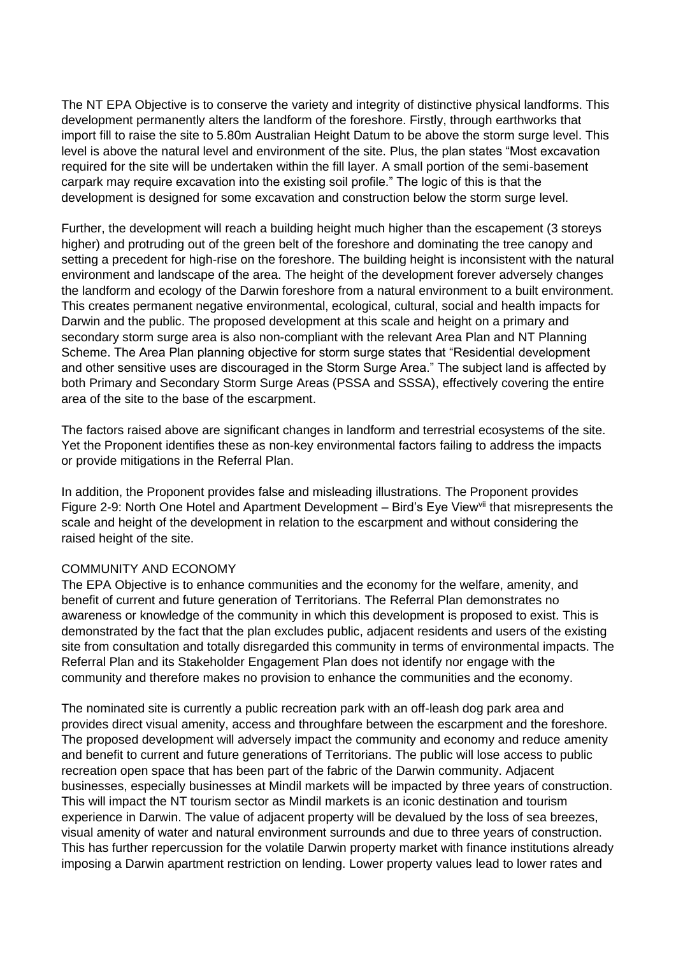The NT EPA Objective is to conserve the variety and integrity of distinctive physical landforms. This development permanently alters the landform of the foreshore. Firstly, through earthworks that import fill to raise the site to 5.80m Australian Height Datum to be above the storm surge level. This level is above the natural level and environment of the site. Plus, the plan states "Most excavation required for the site will be undertaken within the fill layer. A small portion of the semi-basement carpark may require excavation into the existing soil profile." The logic of this is that the development is designed for some excavation and construction below the storm surge level.

Further, the development will reach a building height much higher than the escapement (3 storeys higher) and protruding out of the green belt of the foreshore and dominating the tree canopy and setting a precedent for high-rise on the foreshore. The building height is inconsistent with the natural environment and landscape of the area. The height of the development forever adversely changes the landform and ecology of the Darwin foreshore from a natural environment to a built environment. This creates permanent negative environmental, ecological, cultural, social and health impacts for Darwin and the public. The proposed development at this scale and height on a primary and secondary storm surge area is also non-compliant with the relevant Area Plan and NT Planning Scheme. The Area Plan planning objective for storm surge states that "Residential development and other sensitive uses are discouraged in the Storm Surge Area." The subject land is affected by both Primary and Secondary Storm Surge Areas (PSSA and SSSA), effectively covering the entire area of the site to the base of the escarpment.

The factors raised above are significant changes in landform and terrestrial ecosystems of the site. Yet the Proponent identifies these as non-key environmental factors failing to address the impacts or provide mitigations in the Referral Plan.

In addition, the Proponent provides false and misleading illustrations. The Proponent provides Figure 2-9: North One Hotel and Apartment Development – Bird's Eye View<sup>vii</sup> that misrepresents the scale and height of the development in relation to the escarpment and without considering the raised height of the site.

# COMMUNITY AND ECONOMY

The EPA Objective is to enhance communities and the economy for the welfare, amenity, and benefit of current and future generation of Territorians. The Referral Plan demonstrates no awareness or knowledge of the community in which this development is proposed to exist. This is demonstrated by the fact that the plan excludes public, adjacent residents and users of the existing site from consultation and totally disregarded this community in terms of environmental impacts. The Referral Plan and its Stakeholder Engagement Plan does not identify nor engage with the community and therefore makes no provision to enhance the communities and the economy.

The nominated site is currently a public recreation park with an off-leash dog park area and provides direct visual amenity, access and throughfare between the escarpment and the foreshore. The proposed development will adversely impact the community and economy and reduce amenity and benefit to current and future generations of Territorians. The public will lose access to public recreation open space that has been part of the fabric of the Darwin community. Adjacent businesses, especially businesses at Mindil markets will be impacted by three years of construction. This will impact the NT tourism sector as Mindil markets is an iconic destination and tourism experience in Darwin. The value of adjacent property will be devalued by the loss of sea breezes, visual amenity of water and natural environment surrounds and due to three years of construction. This has further repercussion for the volatile Darwin property market with finance institutions already imposing a Darwin apartment restriction on lending. Lower property values lead to lower rates and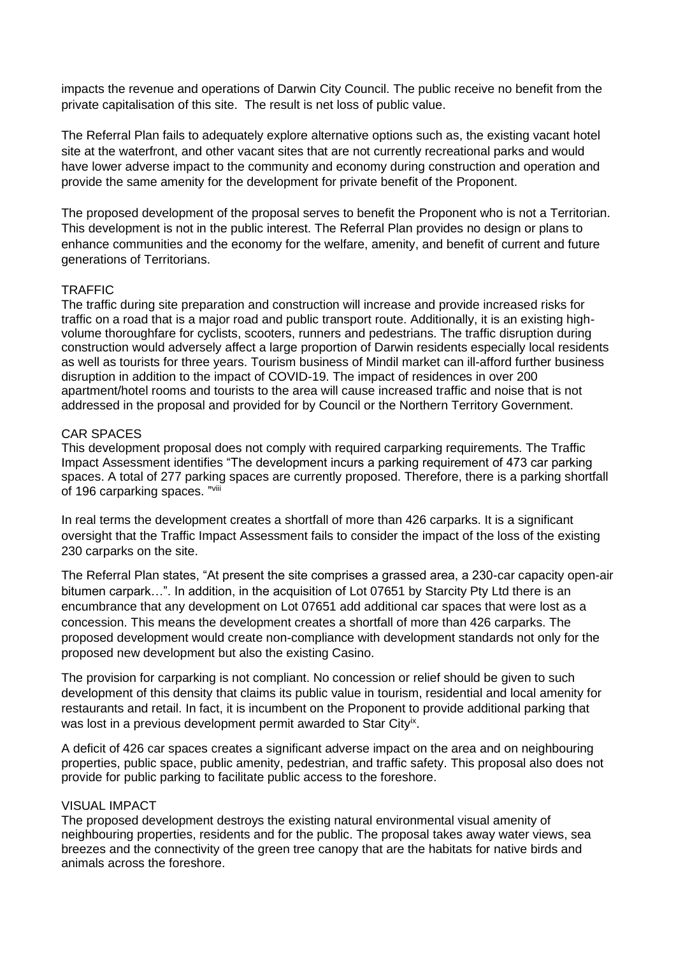impacts the revenue and operations of Darwin City Council. The public receive no benefit from the private capitalisation of this site. The result is net loss of public value.

The Referral Plan fails to adequately explore alternative options such as, the existing vacant hotel site at the waterfront, and other vacant sites that are not currently recreational parks and would have lower adverse impact to the community and economy during construction and operation and provide the same amenity for the development for private benefit of the Proponent.

The proposed development of the proposal serves to benefit the Proponent who is not a Territorian. This development is not in the public interest. The Referral Plan provides no design or plans to enhance communities and the economy for the welfare, amenity, and benefit of current and future generations of Territorians.

### **TRAFFIC**

The traffic during site preparation and construction will increase and provide increased risks for traffic on a road that is a major road and public transport route. Additionally, it is an existing highvolume thoroughfare for cyclists, scooters, runners and pedestrians. The traffic disruption during construction would adversely affect a large proportion of Darwin residents especially local residents as well as tourists for three years. Tourism business of Mindil market can ill-afford further business disruption in addition to the impact of COVID-19. The impact of residences in over 200 apartment/hotel rooms and tourists to the area will cause increased traffic and noise that is not addressed in the proposal and provided for by Council or the Northern Territory Government.

### CAR SPACES

This development proposal does not comply with required carparking requirements. The Traffic Impact Assessment identifies "The development incurs a parking requirement of 473 car parking spaces. A total of 277 parking spaces are currently proposed. Therefore, there is a parking shortfall of 196 carparking spaces. "Vill

In real terms the development creates a shortfall of more than 426 carparks. It is a significant oversight that the Traffic Impact Assessment fails to consider the impact of the loss of the existing 230 carparks on the site.

The Referral Plan states, "At present the site comprises a grassed area, a 230-car capacity open-air bitumen carpark…". In addition, in the acquisition of Lot 07651 by Starcity Pty Ltd there is an encumbrance that any development on Lot 07651 add additional car spaces that were lost as a concession. This means the development creates a shortfall of more than 426 carparks. The proposed development would create non-compliance with development standards not only for the proposed new development but also the existing Casino.

The provision for carparking is not compliant. No concession or relief should be given to such development of this density that claims its public value in tourism, residential and local amenity for restaurants and retail. In fact, it is incumbent on the Proponent to provide additional parking that was lost in a previous development permit awarded to Star City<sup>ix</sup>.

A deficit of 426 car spaces creates a significant adverse impact on the area and on neighbouring properties, public space, public amenity, pedestrian, and traffic safety. This proposal also does not provide for public parking to facilitate public access to the foreshore.

### VISUAL IMPACT

The proposed development destroys the existing natural environmental visual amenity of neighbouring properties, residents and for the public. The proposal takes away water views, sea breezes and the connectivity of the green tree canopy that are the habitats for native birds and animals across the foreshore.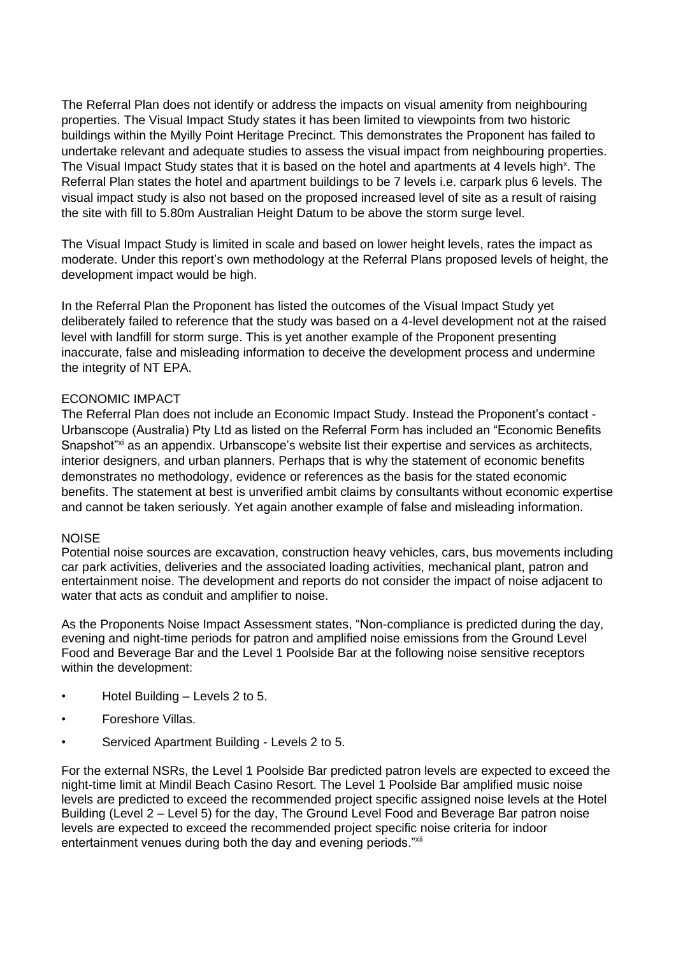The Referral Plan does not identify or address the impacts on visual amenity from neighbouring properties. The Visual Impact Study states it has been limited to viewpoints from two historic buildings within the Myilly Point Heritage Precinct. This demonstrates the Proponent has failed to undertake relevant and adequate studies to assess the visual impact from neighbouring properties. The Visual Impact Study states that it is based on the hotel and apartments at 4 levels high<sup>x</sup>. The Referral Plan states the hotel and apartment buildings to be 7 levels i.e. carpark plus 6 levels. The visual impact study is also not based on the proposed increased level of site as a result of raising the site with fill to 5.80m Australian Height Datum to be above the storm surge level.

The Visual Impact Study is limited in scale and based on lower height levels, rates the impact as moderate. Under this report's own methodology at the Referral Plans proposed levels of height, the development impact would be high.

In the Referral Plan the Proponent has listed the outcomes of the Visual Impact Study yet deliberately failed to reference that the study was based on a 4-level development not at the raised level with landfill for storm surge. This is yet another example of the Proponent presenting inaccurate, false and misleading information to deceive the development process and undermine the integrity of NT EPA.

# ECONOMIC IMPACT

The Referral Plan does not include an Economic Impact Study. Instead the Proponent's contact - Urbanscope (Australia) Pty Ltd as listed on the Referral Form has included an "Economic Benefits Snapshot"xi as an appendix. Urbanscope's website list their expertise and services as architects, interior designers, and urban planners. Perhaps that is why the statement of economic benefits demonstrates no methodology, evidence or references as the basis for the stated economic benefits. The statement at best is unverified ambit claims by consultants without economic expertise and cannot be taken seriously. Yet again another example of false and misleading information.

# **NOISE**

Potential noise sources are excavation, construction heavy vehicles, cars, bus movements including car park activities, deliveries and the associated loading activities, mechanical plant, patron and entertainment noise. The development and reports do not consider the impact of noise adjacent to water that acts as conduit and amplifier to noise.

As the Proponents Noise Impact Assessment states, "Non-compliance is predicted during the day, evening and night-time periods for patron and amplified noise emissions from the Ground Level Food and Beverage Bar and the Level 1 Poolside Bar at the following noise sensitive receptors within the development:

- Hotel Building Levels 2 to 5.
- Foreshore Villas.
- Serviced Apartment Building Levels 2 to 5.

For the external NSRs, the Level 1 Poolside Bar predicted patron levels are expected to exceed the night-time limit at Mindil Beach Casino Resort. The Level 1 Poolside Bar amplified music noise levels are predicted to exceed the recommended project specific assigned noise levels at the Hotel Building (Level 2 – Level 5) for the day, The Ground Level Food and Beverage Bar patron noise levels are expected to exceed the recommended project specific noise criteria for indoor entertainment venues during both the day and evening periods."xii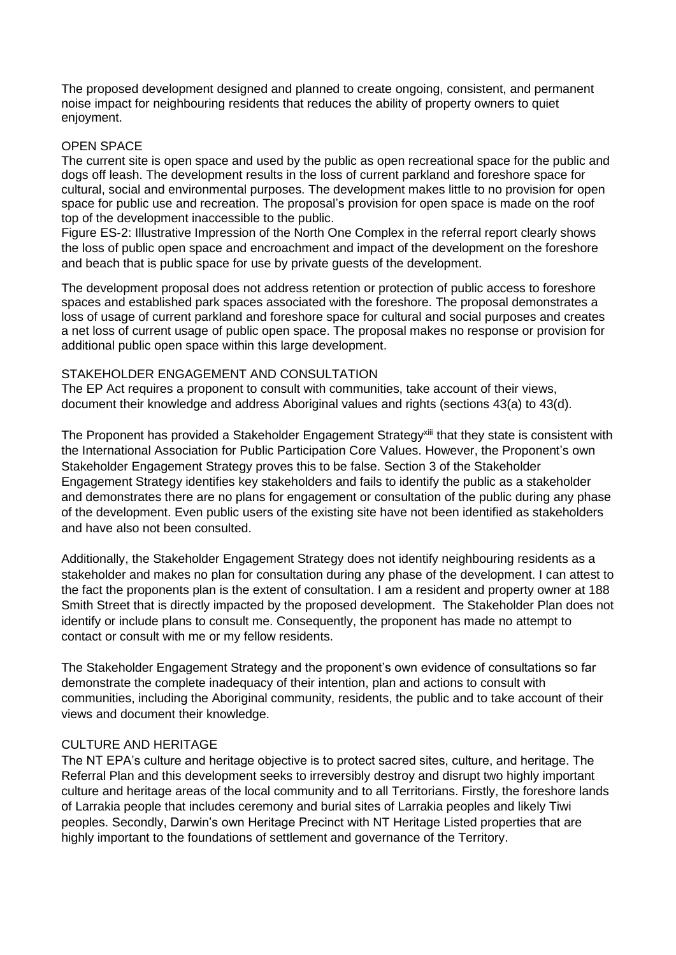The proposed development designed and planned to create ongoing, consistent, and permanent noise impact for neighbouring residents that reduces the ability of property owners to quiet enjoyment.

# OPEN SPACE

The current site is open space and used by the public as open recreational space for the public and dogs off leash. The development results in the loss of current parkland and foreshore space for cultural, social and environmental purposes. The development makes little to no provision for open space for public use and recreation. The proposal's provision for open space is made on the roof top of the development inaccessible to the public.

Figure ES-2: Illustrative Impression of the North One Complex in the referral report clearly shows the loss of public open space and encroachment and impact of the development on the foreshore and beach that is public space for use by private guests of the development.

The development proposal does not address retention or protection of public access to foreshore spaces and established park spaces associated with the foreshore. The proposal demonstrates a loss of usage of current parkland and foreshore space for cultural and social purposes and creates a net loss of current usage of public open space. The proposal makes no response or provision for additional public open space within this large development.

# STAKEHOLDER ENGAGEMENT AND CONSULTATION

The EP Act requires a proponent to consult with communities, take account of their views, document their knowledge and address Aboriginal values and rights (sections 43(a) to 43(d).

The Proponent has provided a Stakeholder Engagement Strategy<sup>xiii</sup> that they state is consistent with the International Association for Public Participation Core Values. However, the Proponent's own Stakeholder Engagement Strategy proves this to be false. Section 3 of the Stakeholder Engagement Strategy identifies key stakeholders and fails to identify the public as a stakeholder and demonstrates there are no plans for engagement or consultation of the public during any phase of the development. Even public users of the existing site have not been identified as stakeholders and have also not been consulted.

Additionally, the Stakeholder Engagement Strategy does not identify neighbouring residents as a stakeholder and makes no plan for consultation during any phase of the development. I can attest to the fact the proponents plan is the extent of consultation. I am a resident and property owner at 188 Smith Street that is directly impacted by the proposed development. The Stakeholder Plan does not identify or include plans to consult me. Consequently, the proponent has made no attempt to contact or consult with me or my fellow residents.

The Stakeholder Engagement Strategy and the proponent's own evidence of consultations so far demonstrate the complete inadequacy of their intention, plan and actions to consult with communities, including the Aboriginal community, residents, the public and to take account of their views and document their knowledge.

# CULTURE AND HERITAGE

The NT EPA's culture and heritage objective is to protect sacred sites, culture, and heritage. The Referral Plan and this development seeks to irreversibly destroy and disrupt two highly important culture and heritage areas of the local community and to all Territorians. Firstly, the foreshore lands of Larrakia people that includes ceremony and burial sites of Larrakia peoples and likely Tiwi peoples. Secondly, Darwin's own Heritage Precinct with NT Heritage Listed properties that are highly important to the foundations of settlement and governance of the Territory.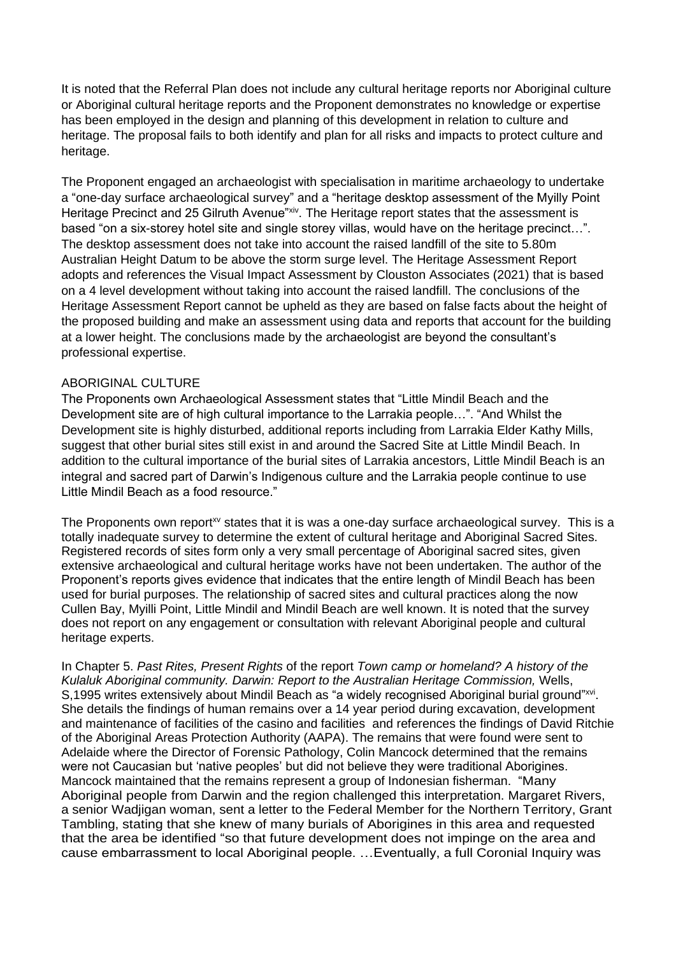It is noted that the Referral Plan does not include any cultural heritage reports nor Aboriginal culture or Aboriginal cultural heritage reports and the Proponent demonstrates no knowledge or expertise has been employed in the design and planning of this development in relation to culture and heritage. The proposal fails to both identify and plan for all risks and impacts to protect culture and heritage.

The Proponent engaged an archaeologist with specialisation in maritime archaeology to undertake a "one-day surface archaeological survey" and a "heritage desktop assessment of the Myilly Point Heritage Precinct and 25 Gilruth Avenue"xiv. The Heritage report states that the assessment is based "on a six-storey hotel site and single storey villas, would have on the heritage precinct…". The desktop assessment does not take into account the raised landfill of the site to 5.80m Australian Height Datum to be above the storm surge level. The Heritage Assessment Report adopts and references the Visual Impact Assessment by Clouston Associates (2021) that is based on a 4 level development without taking into account the raised landfill. The conclusions of the Heritage Assessment Report cannot be upheld as they are based on false facts about the height of the proposed building and make an assessment using data and reports that account for the building at a lower height. The conclusions made by the archaeologist are beyond the consultant's professional expertise.

## ABORIGINAL CULTURE

The Proponents own Archaeological Assessment states that "Little Mindil Beach and the Development site are of high cultural importance to the Larrakia people…". "And Whilst the Development site is highly disturbed, additional reports including from Larrakia Elder Kathy Mills, suggest that other burial sites still exist in and around the Sacred Site at Little Mindil Beach. In addition to the cultural importance of the burial sites of Larrakia ancestors, Little Mindil Beach is an integral and sacred part of Darwin's Indigenous culture and the Larrakia people continue to use Little Mindil Beach as a food resource."

The Proponents own report<sup>xv</sup> states that it is was a one-day surface archaeological survey. This is a totally inadequate survey to determine the extent of cultural heritage and Aboriginal Sacred Sites. Registered records of sites form only a very small percentage of Aboriginal sacred sites, given extensive archaeological and cultural heritage works have not been undertaken. The author of the Proponent's reports gives evidence that indicates that the entire length of Mindil Beach has been used for burial purposes. The relationship of sacred sites and cultural practices along the now Cullen Bay, Myilli Point, Little Mindil and Mindil Beach are well known. It is noted that the survey does not report on any engagement or consultation with relevant Aboriginal people and cultural heritage experts.

In Chapter 5. *Past Rites, Present Rights* of the report *Town camp or homeland? A history of the Kulaluk Aboriginal community. Darwin: Report to the Australian Heritage Commission,* Wells, S, 1995 writes extensively about Mindil Beach as "a widely recognised Aboriginal burial ground"xvi. She details the findings of human remains over a 14 year period during excavation, development and maintenance of facilities of the casino and facilities and references the findings of David Ritchie of the Aboriginal Areas Protection Authority (AAPA). The remains that were found were sent to Adelaide where the Director of Forensic Pathology, Colin Mancock determined that the remains were not Caucasian but 'native peoples' but did not believe they were traditional Aborigines. Mancock maintained that the remains represent a group of Indonesian fisherman. "Many Aboriginal people from Darwin and the region challenged this interpretation. Margaret Rivers, a senior Wadjigan woman, sent a letter to the Federal Member for the Northern Territory, Grant Tambling, stating that she knew of many burials of Aborigines in this area and requested that the area be identified "so that future development does not impinge on the area and cause embarrassment to local Aboriginal people. …Eventually, a full Coronial Inquiry was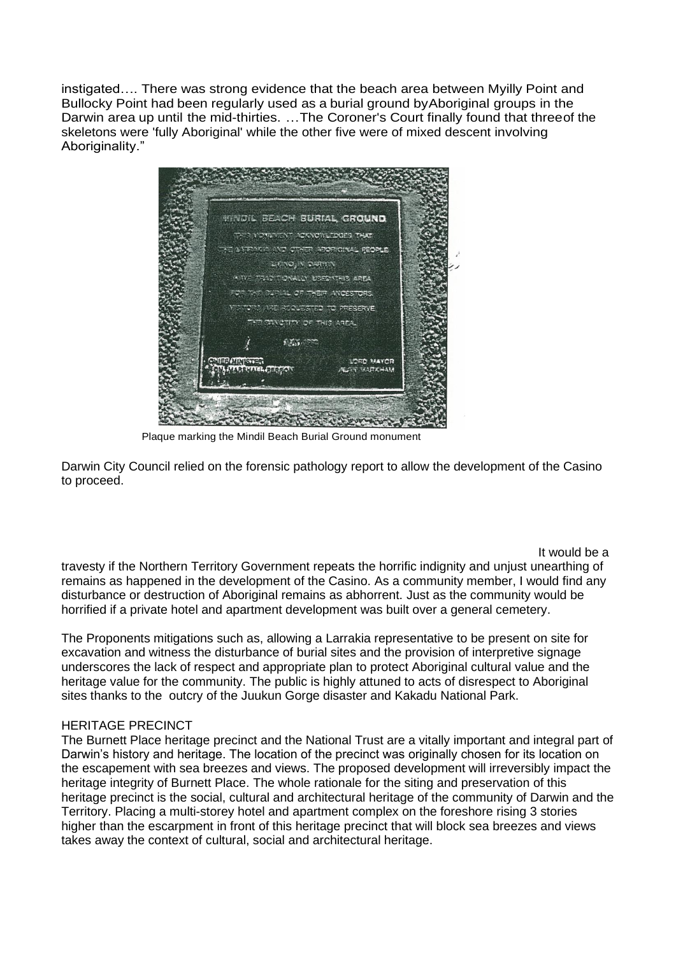instigated…. There was strong evidence that the beach area between Myilly Point and Bullocky Point had been regularly used as a burial ground byAboriginal groups in the Darwin area up until the mid-thirties. …The Coroner's Court finally found that threeof the skeletons were 'fully Aboriginal' while the other five were of mixed descent involving Aboriginality."



Plaque marking the Mindil Beach Burial Ground monument

Darwin City Council relied on the forensic pathology report to allow the development of the Casino to proceed.

# It would be a

travesty if the Northern Territory Government repeats the horrific indignity and unjust unearthing of remains as happened in the development of the Casino. As a community member, I would find any disturbance or destruction of Aboriginal remains as abhorrent. Just as the community would be horrified if a private hotel and apartment development was built over a general cemetery.

The Proponents mitigations such as, allowing a Larrakia representative to be present on site for excavation and witness the disturbance of burial sites and the provision of interpretive signage underscores the lack of respect and appropriate plan to protect Aboriginal cultural value and the heritage value for the community. The public is highly attuned to acts of disrespect to Aboriginal sites thanks to the outcry of the Juukun Gorge disaster and Kakadu National Park.

# HERITAGE PRECINCT

The Burnett Place heritage precinct and the National Trust are a vitally important and integral part of Darwin's history and heritage. The location of the precinct was originally chosen for its location on the escapement with sea breezes and views. The proposed development will irreversibly impact the heritage integrity of Burnett Place. The whole rationale for the siting and preservation of this heritage precinct is the social, cultural and architectural heritage of the community of Darwin and the Territory. Placing a multi-storey hotel and apartment complex on the foreshore rising 3 stories higher than the escarpment in front of this heritage precinct that will block sea breezes and views takes away the context of cultural, social and architectural heritage.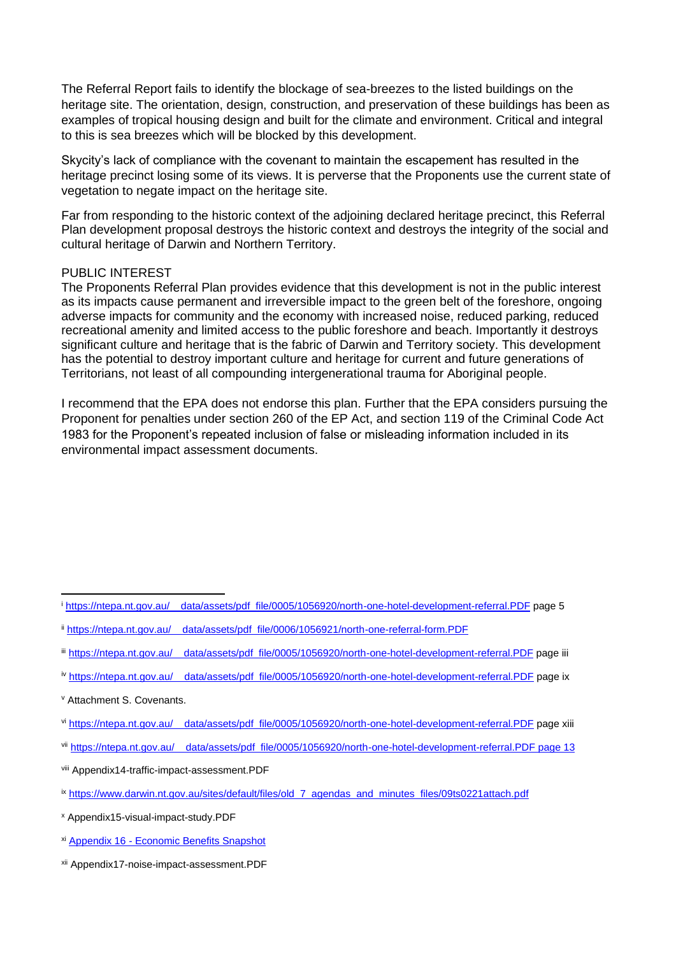The Referral Report fails to identify the blockage of sea-breezes to the listed buildings on the heritage site. The orientation, design, construction, and preservation of these buildings has been as examples of tropical housing design and built for the climate and environment. Critical and integral to this is sea breezes which will be blocked by this development.

Skycity's lack of compliance with the covenant to maintain the escapement has resulted in the heritage precinct losing some of its views. It is perverse that the Proponents use the current state of vegetation to negate impact on the heritage site.

Far from responding to the historic context of the adjoining declared heritage precinct, this Referral Plan development proposal destroys the historic context and destroys the integrity of the social and cultural heritage of Darwin and Northern Territory.

### PUBLIC INTEREST

The Proponents Referral Plan provides evidence that this development is not in the public interest as its impacts cause permanent and irreversible impact to the green belt of the foreshore, ongoing adverse impacts for community and the economy with increased noise, reduced parking, reduced recreational amenity and limited access to the public foreshore and beach. Importantly it destroys significant culture and heritage that is the fabric of Darwin and Territory society. This development has the potential to destroy important culture and heritage for current and future generations of Territorians, not least of all compounding intergenerational trauma for Aboriginal people.

I recommend that the EPA does not endorse this plan. Further that the EPA considers pursuing the Proponent for penalties under section 260 of the EP Act, and section 119 of the Criminal Code Act 1983 for the Proponent's repeated inclusion of false or misleading information included in its environmental impact assessment documents.

iv https://ntepa.nt.gov.au/ data/assets/pdf file/0005/1056920/north-one-hotel-development-referral.PDF page ix

- vi https://ntepa.nt.gov.au/ data/assets/pdf file/0005/1056920/north-one-hotel-development-referral.PDF page xiii
- vii https://ntepa.nt.gov.au/ data/assets/pdf file/0005/1056920/north-one-hotel-development-referral.PDF page 13
- viii Appendix14-traffic-impact-assessment.PDF
- ix https://www.darwin.nt.gov.au/sites/default/files/old 7 agendas and minutes files/09ts0221attach.pdf

<sup>x</sup> Appendix15-visual-impact-study.PDF

- xi Appendix 16 Economic Benefits Snapshot
- xii Appendix17-noise-impact-assessment.PDF

<sup>i</sup> https://ntepa.nt.gov.au/ data/assets/pdf file/0005/1056920/north-one-hotel-development-referral.PDF page 5

ii https://ntepa.nt.gov.au/ data/assets/pdf file/0006/1056921/north-one-referral-form.PDF

iii https://ntepa.nt.gov.au/ data/assets/pdf file/0005/1056920/north-one-hotel-development-referral.PDF page iii

<sup>v</sup> Attachment S. Covenants.